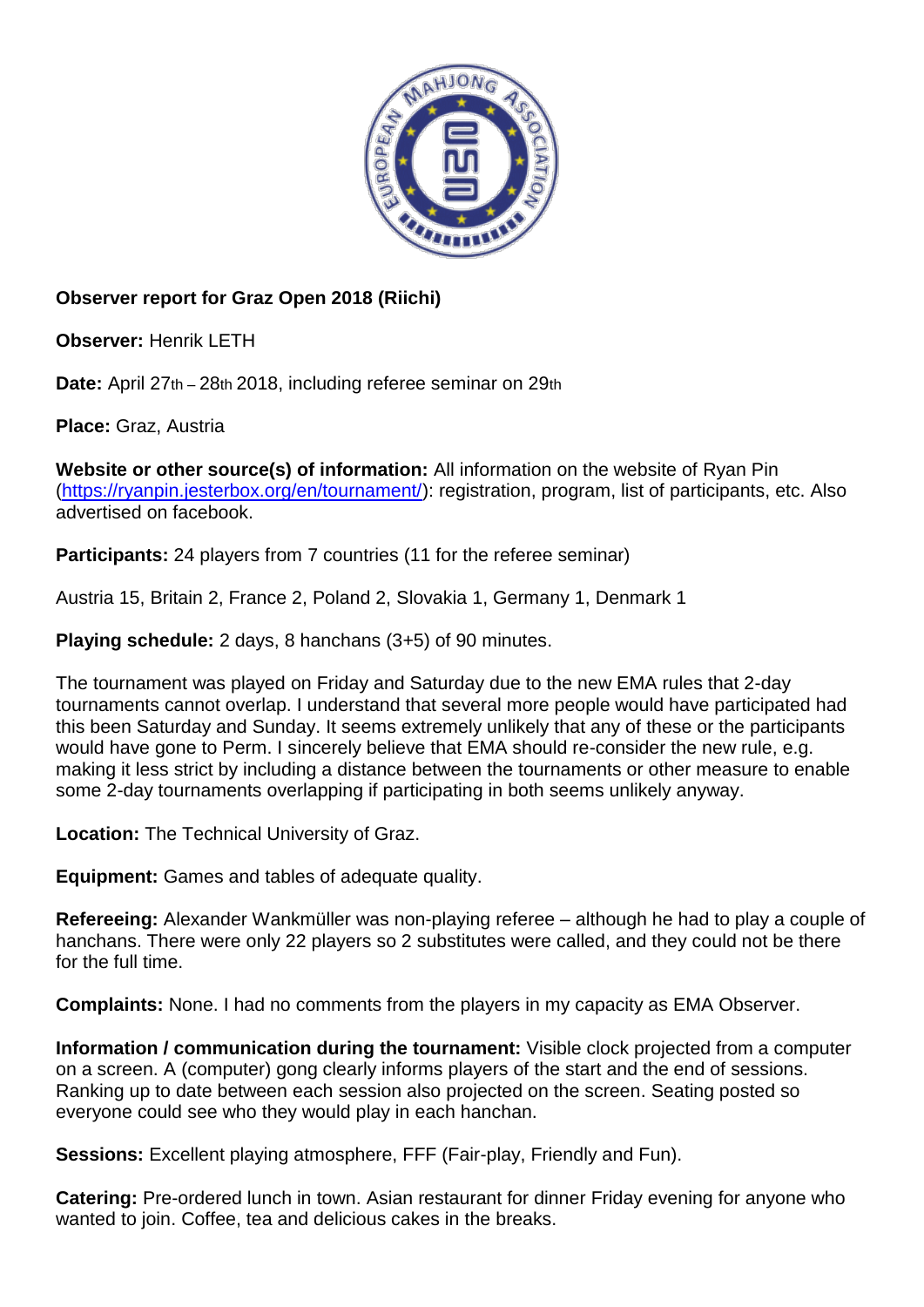

## **Observer report for Graz Open 2018 (Riichi)**

**Observer:** Henrik LETH

**Date:** April 27th – 28th 2018, including referee seminar on 29th

**Place:** Graz, Austria

**Website or other source(s) of information:** All information on the website of Ryan Pin [\(https://ryanpin.jesterbox.org/en/tournament/\)](https://ryanpin.jesterbox.org/en/tournament/): registration, program, list of participants, etc. Also advertised on facebook.

**Participants:** 24 players from 7 countries (11 for the referee seminar)

Austria 15, Britain 2, France 2, Poland 2, Slovakia 1, Germany 1, Denmark 1

**Playing schedule:** 2 days, 8 hanchans (3+5) of 90 minutes.

The tournament was played on Friday and Saturday due to the new EMA rules that 2-day tournaments cannot overlap. I understand that several more people would have participated had this been Saturday and Sunday. It seems extremely unlikely that any of these or the participants would have gone to Perm. I sincerely believe that EMA should re-consider the new rule, e.g. making it less strict by including a distance between the tournaments or other measure to enable some 2-day tournaments overlapping if participating in both seems unlikely anyway.

**Location:** The Technical University of Graz.

**Equipment:** Games and tables of adequate quality.

**Refereeing:** Alexander Wankmüller was non-playing referee – although he had to play a couple of hanchans. There were only 22 players so 2 substitutes were called, and they could not be there for the full time.

**Complaints:** None. I had no comments from the players in my capacity as EMA Observer.

**Information / communication during the tournament:** Visible clock projected from a computer on a screen. A (computer) gong clearly informs players of the start and the end of sessions. Ranking up to date between each session also projected on the screen. Seating posted so everyone could see who they would play in each hanchan.

**Sessions:** Excellent playing atmosphere, FFF (Fair-play, Friendly and Fun).

**Catering:** Pre-ordered lunch in town. Asian restaurant for dinner Friday evening for anyone who wanted to join. Coffee, tea and delicious cakes in the breaks.